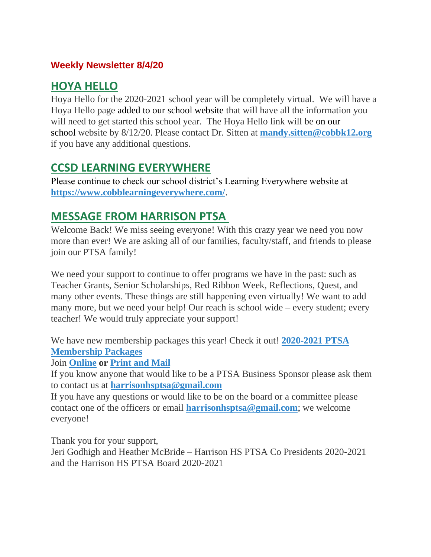### **Weekly Newsletter 8/4/20**

## **HOYA HELLO**

Hoya Hello for the 2020-2021 school year will be completely virtual. We will have a Hoya Hello page added to our school website that will have all the information you will need to get started this school year. The Hoya Hello link will be on our school website by 8/12/20. Please contact Dr. Sitten at **[mandy.sitten@cobbk12.org](mailto:mandy.sitten@cobbk12.org)** if you have any additional questions.

## **CCSD LEARNING EVERYWHERE**

Please continue to check our school district's Learning Everywhere website at **<https://www.cobblearningeverywhere.com/>**.

## **MESSAGE FROM HARRISON PTSA**

Welcome Back! We miss seeing everyone! With this crazy year we need you now more than ever! We are asking all of our families, faculty/staff, and friends to please join our PTSA family!

We need your support to continue to offer programs we have in the past: such as Teacher Grants, Senior Scholarships, Red Ribbon Week, Reflections, Quest, and many other events. These things are still happening even virtually! We want to add many more, but we need your help! Our reach is school wide – every student; every teacher! We would truly appreciate your support!

We have new membership packages this year! Check it out! **[2020-2021 PTSA](https://nam03.safelinks.protection.outlook.com/?url=https%3A%2F%2Fwww.harrisonptsa.org%2Fwp-content%2Fuploads%2F2020%2F08%2F2020-2021-PTSAmembershiplevels.pdf&data=02%7C01%7CASHLYNN.CAMPBELL%40cobbk12.org%7C9182e3c2ede944439a8708d837c4c041%7C2fce1dfb919f4938aab8c47f0fc9182d%7C0%7C1%7C637320665470566605&sdata=y7%2FVYfj8KzS8w%2Bfs%2BuQgqyyFxPvvzl9XkSI%2FURKWkxA%3D&reserved=0)  [Membership Packages](https://nam03.safelinks.protection.outlook.com/?url=https%3A%2F%2Fwww.harrisonptsa.org%2Fwp-content%2Fuploads%2F2020%2F08%2F2020-2021-PTSAmembershiplevels.pdf&data=02%7C01%7CASHLYNN.CAMPBELL%40cobbk12.org%7C9182e3c2ede944439a8708d837c4c041%7C2fce1dfb919f4938aab8c47f0fc9182d%7C0%7C1%7C637320665470566605&sdata=y7%2FVYfj8KzS8w%2Bfs%2BuQgqyyFxPvvzl9XkSI%2FURKWkxA%3D&reserved=0)**

Join **[Online](https://nam03.safelinks.protection.outlook.com/?url=https%3A%2F%2Fform.jotform.com%2F202095225702043&data=02%7C01%7CASHLYNN.CAMPBELL%40cobbk12.org%7C9182e3c2ede944439a8708d837c4c041%7C2fce1dfb919f4938aab8c47f0fc9182d%7C0%7C1%7C637320665470576601&sdata=cBLovSr%2FJb7JF95ZllK4J8Q%2FzRVGb%2FcgKnzI9GoLPIk%3D&reserved=0) or [Print and Mail](https://nam03.safelinks.protection.outlook.com/?url=https%3A%2F%2Fwww.harrisonptsa.org%2Fwp-content%2Fuploads%2F2020%2F08%2FHarrison-PTSA-Membership-2020-2021.pdf&data=02%7C01%7CASHLYNN.CAMPBELL%40cobbk12.org%7C9182e3c2ede944439a8708d837c4c041%7C2fce1dfb919f4938aab8c47f0fc9182d%7C0%7C1%7C637320665470576601&sdata=DdebpurShNQ%2FwowaH9HVu6X%2FxaWDo3yzoIwh5itPi6w%3D&reserved=0)**

If you know anyone that would like to be a PTSA Business Sponsor please ask them to contact us at **[harrisonhsptsa@gmail.com](mailto:harrisonhsptsa@gmail.com)**

If you have any questions or would like to be on the board or a committee please contact one of the officers or email **[harrisonhsptsa@gmail.com](mailto:harrisonhsptsa@gmail.com)**; we welcome everyone!

Thank you for your support,

Jeri Godhigh and Heather McBride – Harrison HS PTSA Co Presidents 2020-2021 and the Harrison HS PTSA Board 2020-2021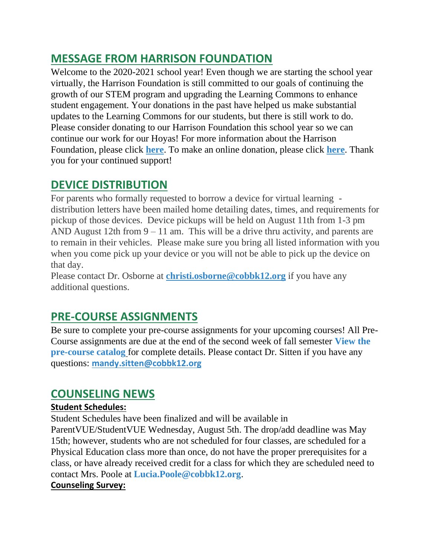## **MESSAGE FROM HARRISON FOUNDATION**

Welcome to the 2020-2021 school year! Even though we are starting the school year virtually, the Harrison Foundation is still committed to our goals of continuing the growth of our STEM program and upgrading the Learning Commons to enhance student engagement. Your donations in the past have helped us make substantial updates to the Learning Commons for our students, but there is still work to do. Please consider donating to our Harrison Foundation this school year so we can continue our work for our Hoyas! For more information about the Harrison Foundation, please click **[here](http://www.harrisonhigh.org/Harrison_Foundation)**. To make an online donation, please click **[here](https://4agc.com/donation_pages/9a934f2b-4936-45fe-809a-1db5a99456d6)**. Thank you for your continued support!

## **DEVICE DISTRIBUTION**

For parents who formally requested to borrow a device for virtual learning distribution letters have been mailed home detailing dates, times, and requirements for pickup of those devices. Device pickups will be held on August 11th from 1-3 pm AND August 12th from  $9 - 11$  am. This will be a drive thru activity, and parents are to remain in their vehicles. Please make sure you bring all listed information with you when you come pick up your device or you will not be able to pick up the device on that day.

Please contact Dr. Osborne at **[christi.osborne@cobbk12.org](mailto:christi.osborne@cobbk12.org)** if you have any additional questions.

# **PRE-COURSE ASSIGNMENTS**

Be sure to complete your pre-course assignments for your upcoming courses! All Pre-Course assignments are due at the end of the second week of fall semester **[View the](https://drive.google.com/file/d/1MybKtV505TzvtpuKLEqRNa7g04JFG_rY/view?usp=sharing)  [pre-course catalog](https://drive.google.com/file/d/1MybKtV505TzvtpuKLEqRNa7g04JFG_rY/view?usp=sharing)** for complete details. Please contact Dr. Sitten if you have any questions: **[mandy.sitten@cobbk12.org](https://www.parentsquare.com/feeds/3641893/mandy.sitten@cobbk12.org)**

## **COUNSELING NEWS**

#### **Student Schedules:**

Student Schedules have been finalized and will be available in

ParentVUE/StudentVUE Wednesday, August 5th. The drop/add deadline was May 15th; however, students who are not scheduled for four classes, are scheduled for a Physical Education class more than once, do not have the proper prerequisites for a class, or have already received credit for a class for which they are scheduled need to contact Mrs. Poole at **[Lucia.Poole@cobbk12.org](mailto:Lucia.Poole@cobbk12.org)**.

#### **Counseling Survey:**